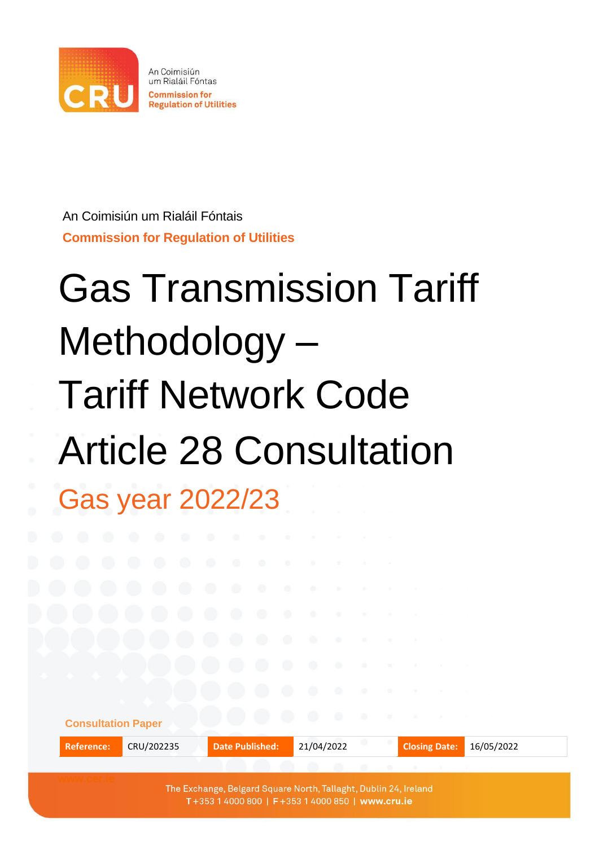

An Coimisiún um Rialáil Fóntais **Commission for Regulation of Utilities**

# Gas Transmission Tariff Methodology – Tariff Network Code Article 28 Consultation Gas year 2022/23

| <b>Consultation Paper</b>                                        |            |                        |            |  |                      |            |
|------------------------------------------------------------------|------------|------------------------|------------|--|----------------------|------------|
| <b>Reference:</b>                                                | CRU/202235 | <b>Date Published:</b> | 21/04/2022 |  | <b>Closing Date:</b> | 16/05/2022 |
|                                                                  |            |                        |            |  |                      |            |
| The Exchange, Belgard Square North, Tallaght, Dublin 24, Ireland |            |                        |            |  |                      |            |

T+353 1 4000 800 | F+353 1 4000 850 | www.cru.ie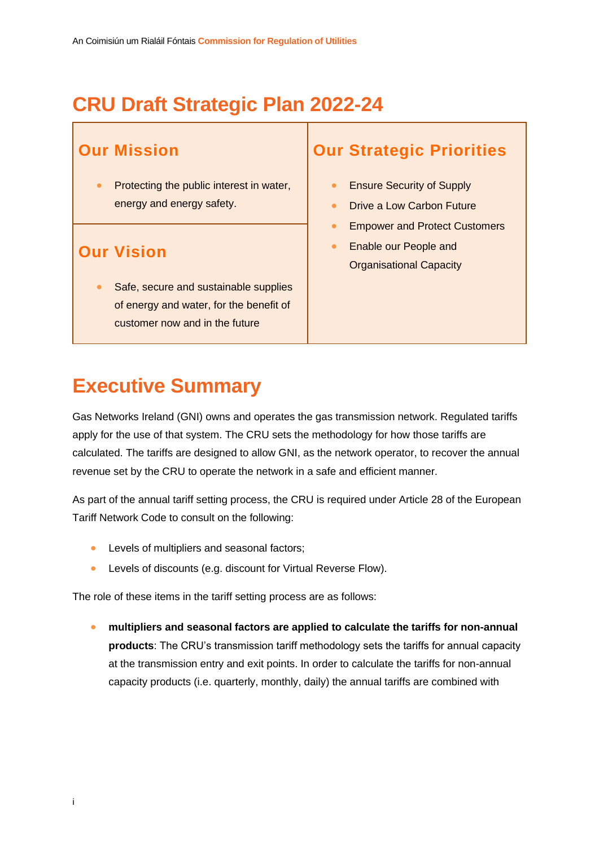## **CRU Draft Strategic Plan 2022-24**

#### **Our Mission**

• Protecting the public interest in water, energy and energy safety.

#### **Our Vision**

Safe, secure and sustainable supplies of energy and water, for the benefit of customer now and in the future

### **Our Strategic Priorities**

- Ensure Security of Supply
- Drive a Low Carbon Future
- Empower and Protect Customers
- Enable our People and Organisational Capacity

### **Executive Summary**

Gas Networks Ireland (GNI) owns and operates the gas transmission network. Regulated tariffs apply for the use of that system. The CRU sets the methodology for how those tariffs are calculated. The tariffs are designed to allow GNI, as the network operator, to recover the annual revenue set by the CRU to operate the network in a safe and efficient manner.

As part of the annual tariff setting process, the CRU is required under Article 28 of the European Tariff Network Code to consult on the following:

- Levels of multipliers and seasonal factors;
- Levels of discounts (e.g. discount for Virtual Reverse Flow).

The role of these items in the tariff setting process are as follows:

• **multipliers and seasonal factors are applied to calculate the tariffs for non-annual products**: The CRU's transmission tariff methodology sets the tariffs for annual capacity at the transmission entry and exit points. In order to calculate the tariffs for non-annual capacity products (i.e. quarterly, monthly, daily) the annual tariffs are combined with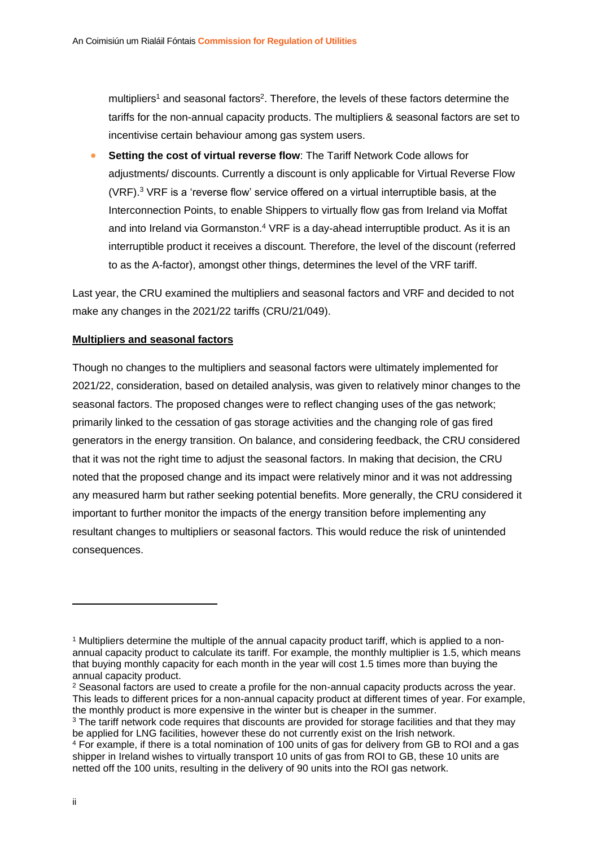multipliers<sup>1</sup> and seasonal factors<sup>2</sup>. Therefore, the levels of these factors determine the tariffs for the non-annual capacity products. The multipliers & seasonal factors are set to incentivise certain behaviour among gas system users.

• **Setting the cost of virtual reverse flow**: The Tariff Network Code allows for adjustments/ discounts. Currently a discount is only applicable for Virtual Reverse Flow (VRF). <sup>3</sup> VRF is a 'reverse flow' service offered on a virtual interruptible basis, at the Interconnection Points, to enable Shippers to virtually flow gas from Ireland via Moffat and into Ireland via Gormanston.<sup>4</sup> VRF is a day-ahead interruptible product. As it is an interruptible product it receives a discount. Therefore, the level of the discount (referred to as the A-factor), amongst other things, determines the level of the VRF tariff.

Last year, the CRU examined the multipliers and seasonal factors and VRF and decided to not make any changes in the 2021/22 tariffs (CRU/21/049).

#### **Multipliers and seasonal factors**

Though no changes to the multipliers and seasonal factors were ultimately implemented for 2021/22, consideration, based on detailed analysis, was given to relatively minor changes to the seasonal factors. The proposed changes were to reflect changing uses of the gas network; primarily linked to the cessation of gas storage activities and the changing role of gas fired generators in the energy transition. On balance, and considering feedback, the CRU considered that it was not the right time to adjust the seasonal factors. In making that decision, the CRU noted that the proposed change and its impact were relatively minor and it was not addressing any measured harm but rather seeking potential benefits. More generally, the CRU considered it important to further monitor the impacts of the energy transition before implementing any resultant changes to multipliers or seasonal factors. This would reduce the risk of unintended consequences.

<sup>1</sup> Multipliers determine the multiple of the annual capacity product tariff, which is applied to a nonannual capacity product to calculate its tariff. For example, the monthly multiplier is 1.5, which means that buying monthly capacity for each month in the year will cost 1.5 times more than buying the annual capacity product.

<sup>&</sup>lt;sup>2</sup> Seasonal factors are used to create a profile for the non-annual capacity products across the year. This leads to different prices for a non-annual capacity product at different times of year. For example, the monthly product is more expensive in the winter but is cheaper in the summer.

<sup>&</sup>lt;sup>3</sup> The tariff network code requires that discounts are provided for storage facilities and that they may be applied for LNG facilities, however these do not currently exist on the Irish network.

<sup>4</sup> For example, if there is a total nomination of 100 units of gas for delivery from GB to ROI and a gas shipper in Ireland wishes to virtually transport 10 units of gas from ROI to GB, these 10 units are netted off the 100 units, resulting in the delivery of 90 units into the ROI gas network.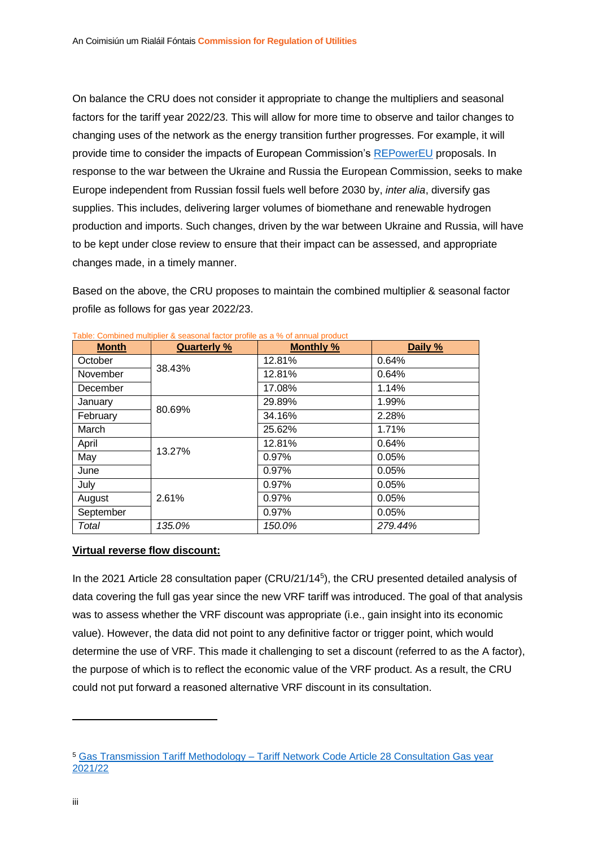On balance the CRU does not consider it appropriate to change the multipliers and seasonal factors for the tariff year 2022/23. This will allow for more time to observe and tailor changes to changing uses of the network as the energy transition further progresses. For example, it will provide time to consider the impacts of European Commission's [REPowerEU](https://ec.europa.eu/commission/presscorner/detail/en/ip_22_1511) proposals. In response to the war between the Ukraine and Russia the European Commission, seeks to make Europe independent from Russian fossil fuels well before 2030 by, *inter alia*, diversify gas supplies. This includes, delivering larger volumes of biomethane and renewable hydrogen production and imports. Such changes, driven by the war between Ukraine and Russia, will have to be kept under close review to ensure that their impact can be assessed, and appropriate changes made, in a timely manner.

Based on the above, the CRU proposes to maintain the combined multiplier & seasonal factor profile as follows for gas year 2022/23.

| <b>Month</b> | <b>Quarterly %</b> | <b>Monthly %</b> | Daily % |
|--------------|--------------------|------------------|---------|
| October      |                    | 12.81%           | 0.64%   |
| November     | 38.43%             | 12.81%           | 0.64%   |
| December     |                    | 17.08%           | 1.14%   |
| January      |                    | 29.89%           | 1.99%   |
| February     | 80.69%             | 34.16%           | 2.28%   |
| March        |                    | 25.62%           | 1.71%   |
| April        | 13.27%             | 12.81%           | 0.64%   |
| May          |                    | 0.97%            | 0.05%   |
| June         |                    | 0.97%            | 0.05%   |
| July         |                    | 0.97%            | 0.05%   |
| August       | 2.61%              | 0.97%            | 0.05%   |
| September    |                    | 0.97%            | 0.05%   |
| Total        | 135.0%             | 150.0%           | 279.44% |

| Table: Combined multiplier & seasonal factor profile as a % of annual product |  |  |  |
|-------------------------------------------------------------------------------|--|--|--|
|                                                                               |  |  |  |

#### **Virtual reverse flow discount:**

In the 2021 Article 28 consultation paper (CRU/21/14<sup>5</sup> ), the CRU presented detailed analysis of data covering the full gas year since the new VRF tariff was introduced. The goal of that analysis was to assess whether the VRF discount was appropriate (i.e., gain insight into its economic value). However, the data did not point to any definitive factor or trigger point, which would determine the use of VRF. This made it challenging to set a discount (referred to as the A factor), the purpose of which is to reflect the economic value of the VRF product. As a result, the CRU could not put forward a reasoned alternative VRF discount in its consultation.

<sup>5</sup> Gas Transmission Tariff Methodology – [Tariff Network Code Article 28 Consultation Gas year](https://www.cru.ie/wp-content/uploads/2021/02/CRU2114-Gas-Transmission-Tariff-Methodology-Article-28-Consultation-Gas-Year-21-22.pdf)  [2021/22](https://www.cru.ie/wp-content/uploads/2021/02/CRU2114-Gas-Transmission-Tariff-Methodology-Article-28-Consultation-Gas-Year-21-22.pdf)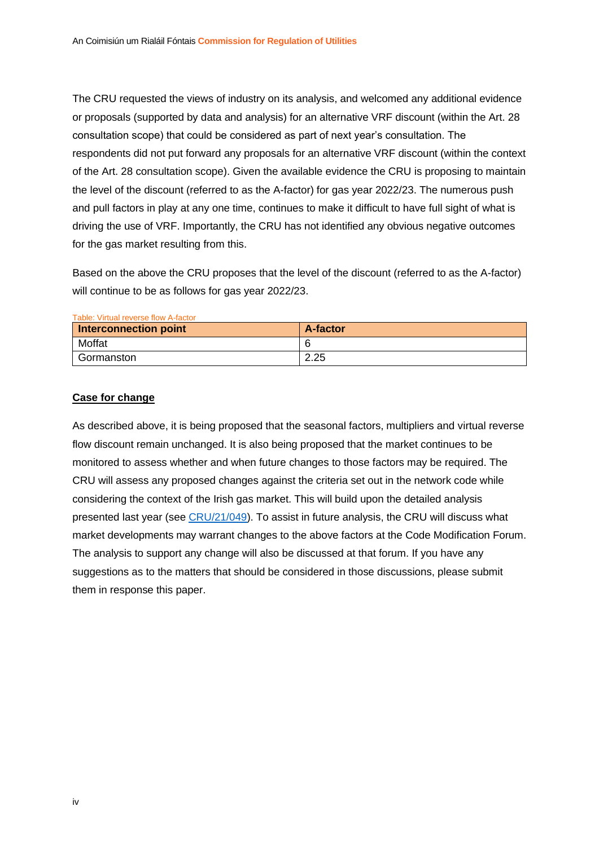The CRU requested the views of industry on its analysis, and welcomed any additional evidence or proposals (supported by data and analysis) for an alternative VRF discount (within the Art. 28 consultation scope) that could be considered as part of next year's consultation. The respondents did not put forward any proposals for an alternative VRF discount (within the context of the Art. 28 consultation scope). Given the available evidence the CRU is proposing to maintain the level of the discount (referred to as the A-factor) for gas year 2022/23. The numerous push and pull factors in play at any one time, continues to make it difficult to have full sight of what is driving the use of VRF. Importantly, the CRU has not identified any obvious negative outcomes for the gas market resulting from this.

Based on the above the CRU proposes that the level of the discount (referred to as the A-factor) will continue to be as follows for gas year 2022/23.

| Table: Virtual reverse flow A-factor |                 |  |  |  |
|--------------------------------------|-----------------|--|--|--|
| <b>Interconnection point</b>         | <b>A-factor</b> |  |  |  |
| Moffat                               | -6              |  |  |  |
| Gormanston                           | 2.25            |  |  |  |

#### **Case for change**

As described above, it is being proposed that the seasonal factors, multipliers and virtual reverse flow discount remain unchanged. It is also being proposed that the market continues to be monitored to assess whether and when future changes to those factors may be required. The CRU will assess any proposed changes against the criteria set out in the network code while considering the context of the Irish gas market. This will build upon the detailed analysis presented last year (see [CRU/21/049\)](https://www.cru.ie/wp-content/uploads/2021/04/CRU21049-Gas-Transmission-Tariff-Methodology-Tariff-Network-Code-Article-28-Decision-Gas-year-2021.22.pdf). To assist in future analysis, the CRU will discuss what market developments may warrant changes to the above factors at the Code Modification Forum. The analysis to support any change will also be discussed at that forum. If you have any suggestions as to the matters that should be considered in those discussions, please submit them in response this paper.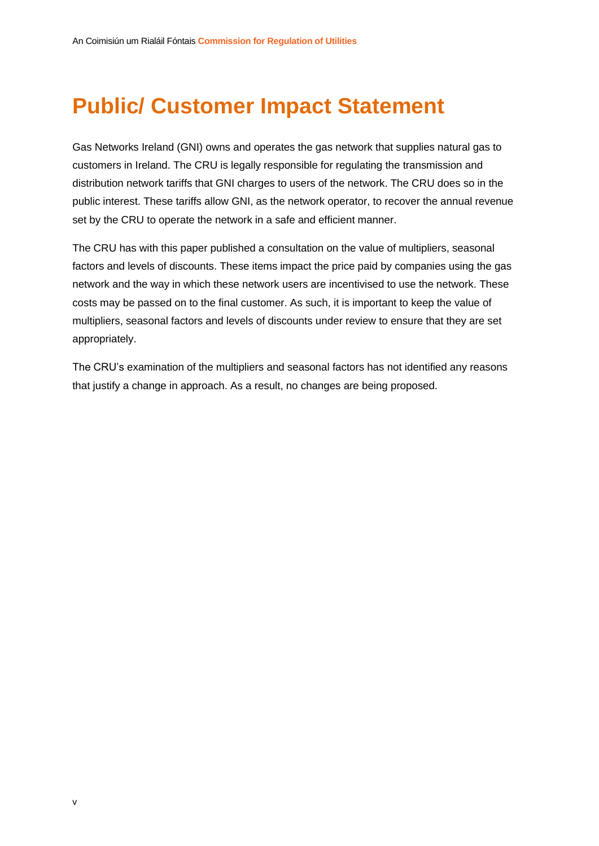# **Public/ Customer Impact Statement**

Gas Networks Ireland (GNI) owns and operates the gas network that supplies natural gas to customers in Ireland. The CRU is legally responsible for regulating the transmission and distribution network tariffs that GNI charges to users of the network. The CRU does so in the public interest. These tariffs allow GNI, as the network operator, to recover the annual revenue set by the CRU to operate the network in a safe and efficient manner.

The CRU has with this paper published a consultation on the value of multipliers, seasonal factors and levels of discounts. These items impact the price paid by companies using the gas network and the way in which these network users are incentivised to use the network. These costs may be passed on to the final customer. As such, it is important to keep the value of multipliers, seasonal factors and levels of discounts under review to ensure that they are set appropriately.

The CRU's examination of the multipliers and seasonal factors has not identified any reasons that justify a change in approach. As a result, no changes are being proposed.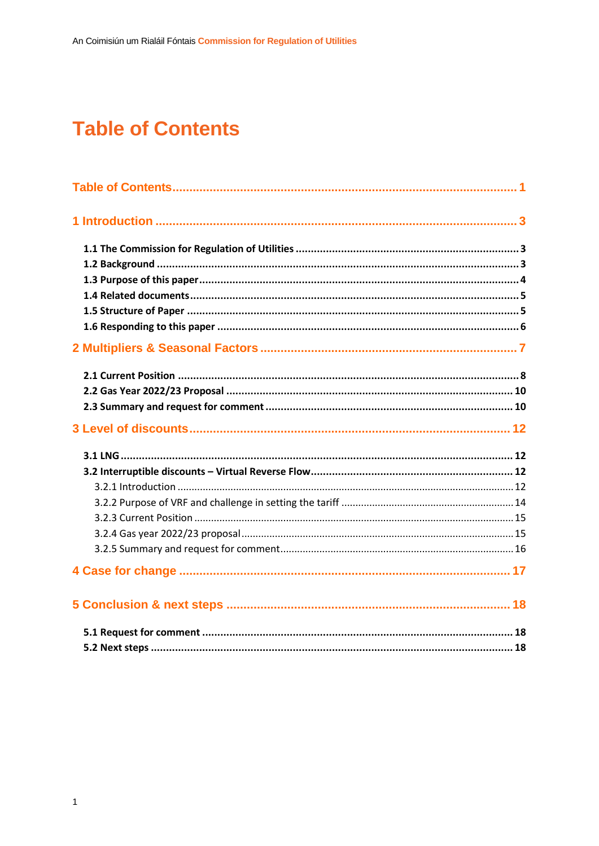# <span id="page-6-0"></span>**Table of Contents**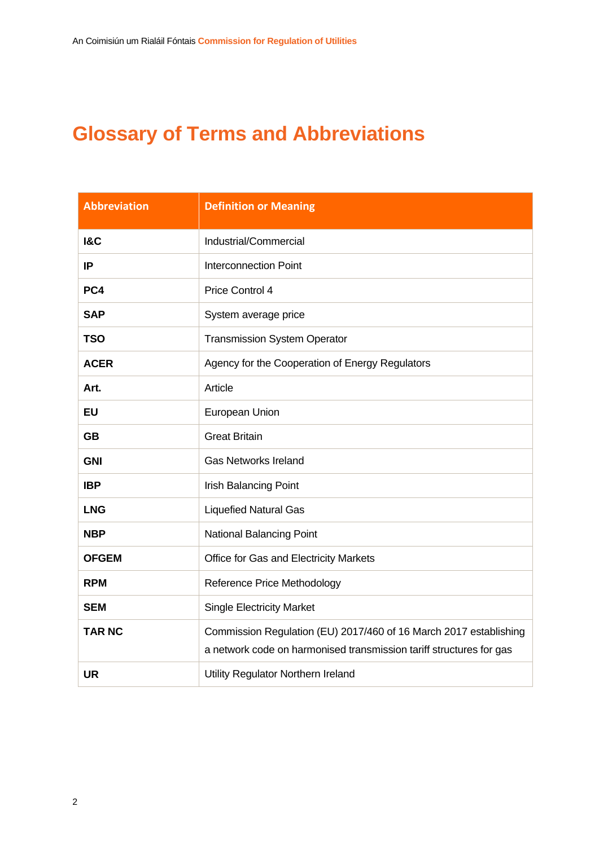# **Glossary of Terms and Abbreviations**

| <b>Abbreviation</b> | <b>Definition or Meaning</b>                                                                                                             |
|---------------------|------------------------------------------------------------------------------------------------------------------------------------------|
| <b>1&amp;C</b>      | Industrial/Commercial                                                                                                                    |
| IP                  | <b>Interconnection Point</b>                                                                                                             |
| PC4                 | Price Control 4                                                                                                                          |
| <b>SAP</b>          | System average price                                                                                                                     |
| <b>TSO</b>          | <b>Transmission System Operator</b>                                                                                                      |
| <b>ACER</b>         | Agency for the Cooperation of Energy Regulators                                                                                          |
| Art.                | Article                                                                                                                                  |
| <b>EU</b>           | European Union                                                                                                                           |
| <b>GB</b>           | <b>Great Britain</b>                                                                                                                     |
| <b>GNI</b>          | <b>Gas Networks Ireland</b>                                                                                                              |
| <b>IBP</b>          | <b>Irish Balancing Point</b>                                                                                                             |
| <b>LNG</b>          | <b>Liquefied Natural Gas</b>                                                                                                             |
| <b>NBP</b>          | National Balancing Point                                                                                                                 |
| <b>OFGEM</b>        | Office for Gas and Electricity Markets                                                                                                   |
| <b>RPM</b>          | Reference Price Methodology                                                                                                              |
| <b>SEM</b>          | <b>Single Electricity Market</b>                                                                                                         |
| <b>TAR NC</b>       | Commission Regulation (EU) 2017/460 of 16 March 2017 establishing<br>a network code on harmonised transmission tariff structures for gas |
| <b>UR</b>           | Utility Regulator Northern Ireland                                                                                                       |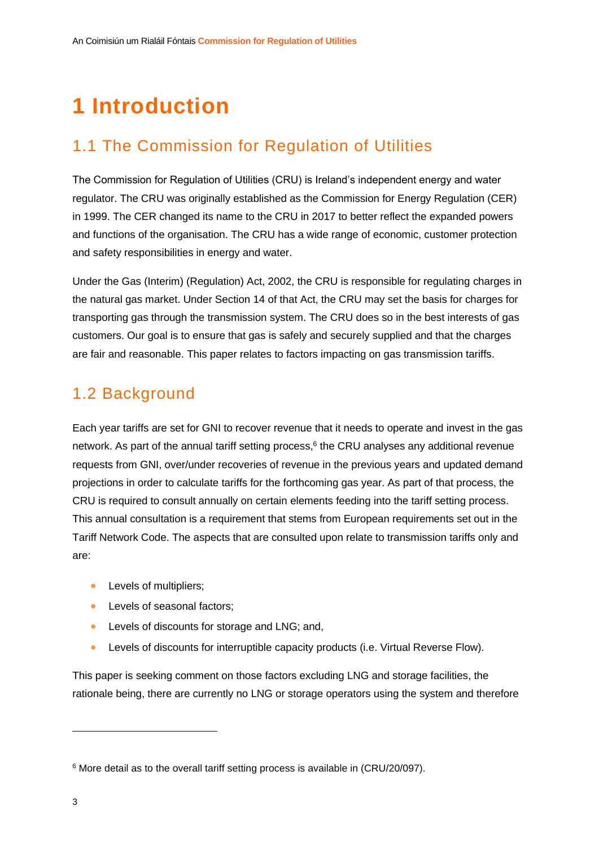# <span id="page-8-0"></span>**1 Introduction**

### <span id="page-8-1"></span>1.1 The Commission for Regulation of Utilities

The Commission for Regulation of Utilities (CRU) is Ireland's independent energy and water regulator. The CRU was originally established as the Commission for Energy Regulation (CER) in 1999. The CER changed its name to the CRU in 2017 to better reflect the expanded powers and functions of the organisation. The CRU has a wide range of economic, customer protection and safety responsibilities in energy and water.

Under the Gas (Interim) (Regulation) Act, 2002, the CRU is responsible for regulating charges in the natural gas market. Under Section 14 of that Act, the CRU may set the basis for charges for transporting gas through the transmission system. The CRU does so in the best interests of gas customers. Our goal is to ensure that gas is safely and securely supplied and that the charges are fair and reasonable. This paper relates to factors impacting on gas transmission tariffs.

### <span id="page-8-2"></span>1.2 Background

Each year tariffs are set for GNI to recover revenue that it needs to operate and invest in the gas network. As part of the annual tariff setting process,<sup>6</sup> the CRU analyses any additional revenue requests from GNI, over/under recoveries of revenue in the previous years and updated demand projections in order to calculate tariffs for the forthcoming gas year. As part of that process, the CRU is required to consult annually on certain elements feeding into the tariff setting process. This annual consultation is a requirement that stems from European requirements set out in the Tariff Network Code. The aspects that are consulted upon relate to transmission tariffs only and are:

- Levels of multipliers;
- Levels of seasonal factors;
- Levels of discounts for storage and LNG; and,
- Levels of discounts for interruptible capacity products (i.e. Virtual Reverse Flow).

This paper is seeking comment on those factors excluding LNG and storage facilities, the rationale being, there are currently no LNG or storage operators using the system and therefore

<sup>6</sup> More detail as to the overall tariff setting process is available in (CRU/20/097).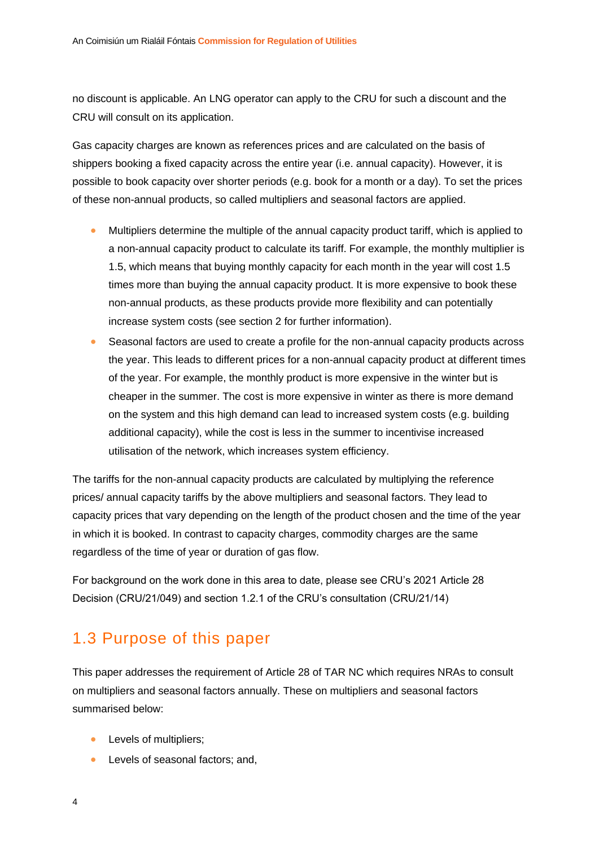no discount is applicable. An LNG operator can apply to the CRU for such a discount and the CRU will consult on its application.

Gas capacity charges are known as references prices and are calculated on the basis of shippers booking a fixed capacity across the entire year (i.e. annual capacity). However, it is possible to book capacity over shorter periods (e.g. book for a month or a day). To set the prices of these non-annual products, so called multipliers and seasonal factors are applied.

- Multipliers determine the multiple of the annual capacity product tariff, which is applied to a non-annual capacity product to calculate its tariff. For example, the monthly multiplier is 1.5, which means that buying monthly capacity for each month in the year will cost 1.5 times more than buying the annual capacity product. It is more expensive to book these non-annual products, as these products provide more flexibility and can potentially increase system costs (see section [2](#page-12-0) for further information).
- Seasonal factors are used to create a profile for the non-annual capacity products across the year. This leads to different prices for a non-annual capacity product at different times of the year. For example, the monthly product is more expensive in the winter but is cheaper in the summer. The cost is more expensive in winter as there is more demand on the system and this high demand can lead to increased system costs (e.g. building additional capacity), while the cost is less in the summer to incentivise increased utilisation of the network, which increases system efficiency.

The tariffs for the non-annual capacity products are calculated by multiplying the reference prices/ annual capacity tariffs by the above multipliers and seasonal factors. They lead to capacity prices that vary depending on the length of the product chosen and the time of the year in which it is booked. In contrast to capacity charges, commodity charges are the same regardless of the time of year or duration of gas flow.

For background on the work done in this area to date, please see CRU's 2021 Article 28 Decision (CRU/21/049) and section 1.2.1 of the CRU's consultation (CRU/21/14)

### <span id="page-9-0"></span>1.3 Purpose of this paper

This paper addresses the requirement of Article 28 of TAR NC which requires NRAs to consult on multipliers and seasonal factors annually. These on multipliers and seasonal factors summarised below:

- Levels of multipliers;
- Levels of seasonal factors; and,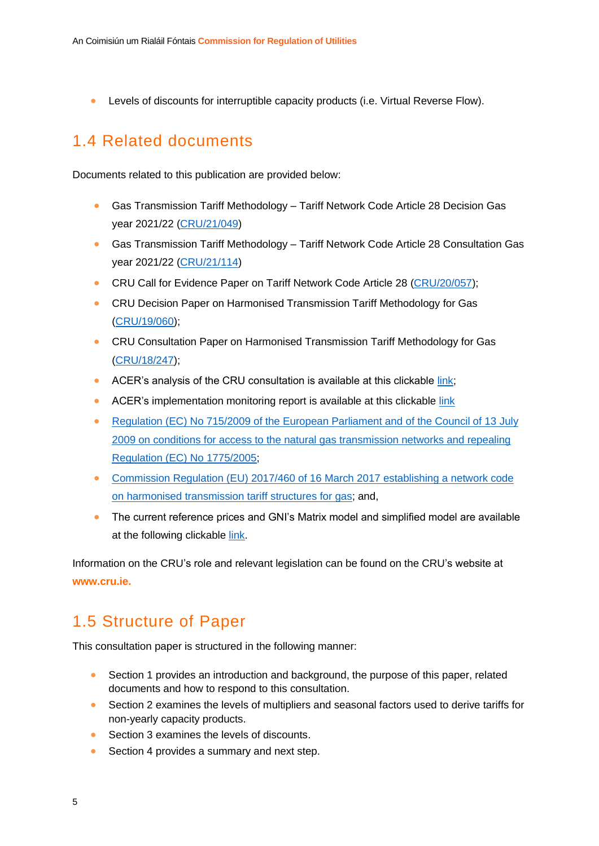• Levels of discounts for interruptible capacity products (i.e. Virtual Reverse Flow).

#### <span id="page-10-0"></span>1.4 Related documents

Documents related to this publication are provided below:

- Gas Transmission Tariff Methodology Tariff Network Code Article 28 Decision Gas year 2021/22 [\(CRU/21/049\)](https://www.cru.ie/wp-content/uploads/2021/04/CRU21049-Gas-Transmission-Tariff-Methodology-Tariff-Network-Code-Article-28-Decision-Gas-year-2021.22.pdf)
- Gas Transmission Tariff Methodology Tariff Network Code Article 28 Consultation Gas year 2021/22 [\(CRU/21/114\)](https://www.cru.ie/wp-content/uploads/2021/02/CRU2114-Gas-Transmission-Tariff-Methodology-Article-28-Consultation-Gas-Year-21-22.pdf)
- CRU Call for Evidence Paper on Tariff Network Code Article 28 [\(CRU/20/057\)](https://www.cru.ie/wp-content/uploads/2020/05/CRU20057-Tariff-Network-Code-Article-28-Call-for-Evidence-Gas-Year-202021.pdf);
- CRU Decision Paper on Harmonised Transmission Tariff Methodology for Gas [\(CRU/19/060\)](https://www.cru.ie/document_group/harmonised-transmission-tariff-methodology-for-gas/);
- CRU Consultation Paper on Harmonised Transmission Tariff Methodology for Gas [\(CRU/18/247\)](https://www.cru.ie/document_group/harmonised-transmission-tariff-methodology-for-gas/);
- ACER's analysis of the CRU consultation is available at this clickable [link;](https://acer.europa.eu/en/Gas/Framework%20guidelines_and_network%20codes/Pages/Harmonised-transmission-tariff-structures.aspx)
- ACER's implementation monitoring report is available at this clickable [link](https://acer.europa.eu/en/Gas/Framework%20guidelines_and_network%20codes/Pages/Harmonised-transmission-tariff-structures.aspx)
- [Regulation \(EC\) No 715/2009 of the European Parliament and of the Council of 13](https://eur-lex.europa.eu/LexUriServ/LexUriServ.do?uri=OJ:L:2009:211:0036:0054:en:PDF) July [2009 on conditions for access to the natural gas transmission networks and repealing](https://eur-lex.europa.eu/LexUriServ/LexUriServ.do?uri=OJ:L:2009:211:0036:0054:en:PDF)  [Regulation \(EC\) No](https://eur-lex.europa.eu/LexUriServ/LexUriServ.do?uri=OJ:L:2009:211:0036:0054:en:PDF) 1775/2005;
- [Commission Regulation \(EU\) 2017/460 of 16 March 2017 establishing a network code](https://eur-lex.europa.eu/legal-content/EN/TXT/PDF/?uri=CELEX:32017R0460&from=EN)  [on harmonised transmission tariff structures for gas;](https://eur-lex.europa.eu/legal-content/EN/TXT/PDF/?uri=CELEX:32017R0460&from=EN) and,
- The current reference prices and GNI's Matrix model and simplified model are available at the following clickable [link.](https://www.gasnetworks.ie/corporate/gas-regulation/tariffs/transmission-tariffs/)

Information on the CRU's role and relevant legislation can be found on the CRU's website at **www.cru.ie.**

#### <span id="page-10-1"></span>1.5 Structure of Paper

This consultation paper is structured in the following manner:

- Section 1 provides an introduction and background, the purpose of this paper, related documents and how to respond to this consultation.
- Section 2 examines the levels of multipliers and seasonal factors used to derive tariffs for non-yearly capacity products.
- Section 3 examines the levels of discounts.
- Section 4 provides a summary and next step.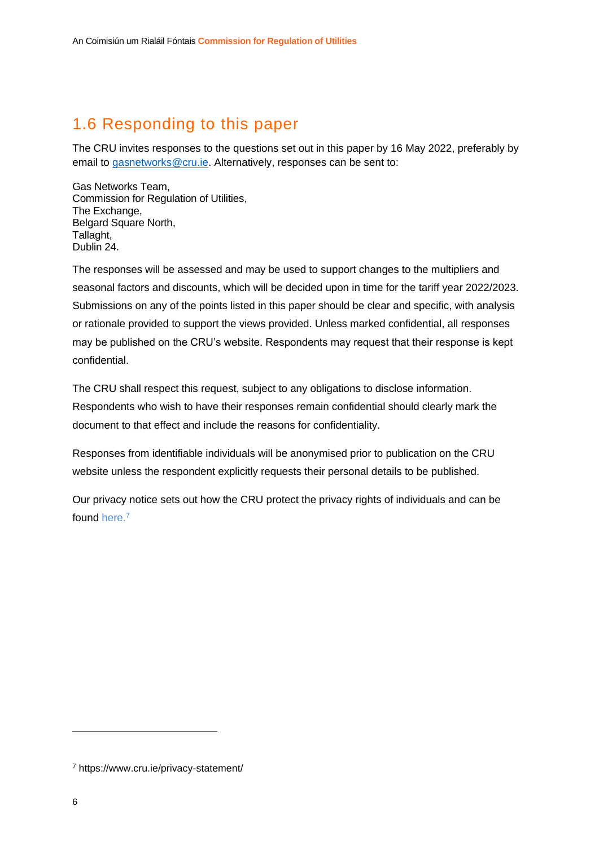### <span id="page-11-0"></span>1.6 Responding to this paper

The CRU invites responses to the questions set out in this paper by 16 May 2022, preferably by email to [gasnetworks@cru.ie.](mailto:gasnetworks@cru.ie) Alternatively, responses can be sent to:

Gas Networks Team, Commission for Regulation of Utilities, The Exchange, Belgard Square North, Tallaght, Dublin 24.

The responses will be assessed and may be used to support changes to the multipliers and seasonal factors and discounts, which will be decided upon in time for the tariff year 2022/2023. Submissions on any of the points listed in this paper should be clear and specific, with analysis or rationale provided to support the views provided. Unless marked confidential, all responses may be published on the CRU's website. Respondents may request that their response is kept confidential.

The CRU shall respect this request, subject to any obligations to disclose information. Respondents who wish to have their responses remain confidential should clearly mark the document to that effect and include the reasons for confidentiality.

Responses from identifiable individuals will be anonymised prior to publication on the CRU website unless the respondent explicitly requests their personal details to be published.

Our privacy notice sets out how the CRU protect the privacy rights of individuals and can be found [here.](https://www.cru.ie/privacy-statement/)<sup>7</sup>

<sup>7</sup> https://www.cru.ie/privacy-statement/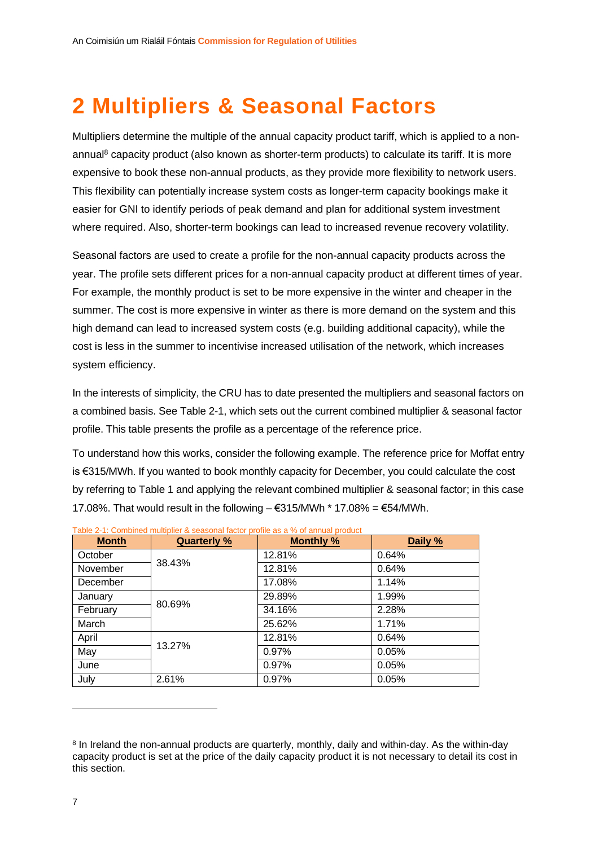# <span id="page-12-0"></span>**2 Multipliers & Seasonal Factors**

Multipliers determine the multiple of the annual capacity product tariff, which is applied to a nonannual<sup>8</sup> capacity product (also known as shorter-term products) to calculate its tariff. It is more expensive to book these non-annual products, as they provide more flexibility to network users. This flexibility can potentially increase system costs as longer-term capacity bookings make it easier for GNI to identify periods of peak demand and plan for additional system investment where required. Also, shorter-term bookings can lead to increased revenue recovery volatility.

Seasonal factors are used to create a profile for the non-annual capacity products across the year. The profile sets different prices for a non-annual capacity product at different times of year. For example, the monthly product is set to be more expensive in the winter and cheaper in the summer. The cost is more expensive in winter as there is more demand on the system and this high demand can lead to increased system costs (e.g. building additional capacity), while the cost is less in the summer to incentivise increased utilisation of the network, which increases system efficiency.

In the interests of simplicity, the CRU has to date presented the multipliers and seasonal factors on a combined basis. See [Table 2-1,](#page-12-1) which sets out the current combined multiplier & seasonal factor profile. This table presents the profile as a percentage of the reference price.

To understand how this works, consider the following example. The reference price for Moffat entry is €315/MWh. If you wanted to book monthly capacity for December, you could calculate the cost by referring to Table 1 and applying the relevant combined multiplier & seasonal factor; in this case 17.08%. That would result in the following  $-$  €315/MWh  $*$  17.08% = €54/MWh.

| <b>Month</b> | <b>Quarterly %</b> | <b>Monthly %</b> | Daily % |
|--------------|--------------------|------------------|---------|
| October      |                    | 12.81%           | 0.64%   |
| November     | 38.43%             | 12.81%           | 0.64%   |
| December     |                    | 17.08%           | 1.14%   |
| January      |                    | 29.89%           | 1.99%   |
| February     | 80.69%             | 34.16%           | 2.28%   |
| March        |                    | 25.62%           | 1.71%   |
| April        |                    | 12.81%           | 0.64%   |
| May          | 13.27%             | 0.97%            | 0.05%   |
| June         |                    | 0.97%            | 0.05%   |
| July         | 2.61%              | 0.97%            | 0.05%   |

<span id="page-12-1"></span>

<sup>&</sup>lt;sup>8</sup> In Ireland the non-annual products are quarterly, monthly, daily and within-day. As the within-day capacity product is set at the price of the daily capacity product it is not necessary to detail its cost in this section.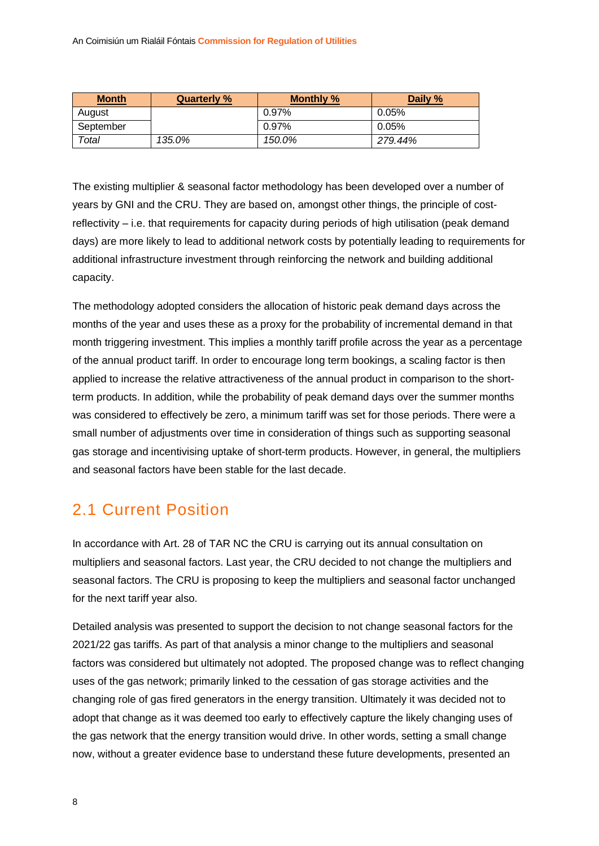| <b>Month</b> | <b>Quarterly %</b> | <b>Monthly %</b> | Daily % |
|--------------|--------------------|------------------|---------|
| August       |                    | 0.97%            | 0.05%   |
| September    |                    | 0.97%            | 0.05%   |
| Total        | 135.0%             | 150.0%           | 279.44% |

The existing multiplier & seasonal factor methodology has been developed over a number of years by GNI and the CRU. They are based on, amongst other things, the principle of costreflectivity – i.e. that requirements for capacity during periods of high utilisation (peak demand days) are more likely to lead to additional network costs by potentially leading to requirements for additional infrastructure investment through reinforcing the network and building additional capacity.

The methodology adopted considers the allocation of historic peak demand days across the months of the year and uses these as a proxy for the probability of incremental demand in that month triggering investment. This implies a monthly tariff profile across the year as a percentage of the annual product tariff. In order to encourage long term bookings, a scaling factor is then applied to increase the relative attractiveness of the annual product in comparison to the shortterm products. In addition, while the probability of peak demand days over the summer months was considered to effectively be zero, a minimum tariff was set for those periods. There were a small number of adjustments over time in consideration of things such as supporting seasonal gas storage and incentivising uptake of short-term products. However, in general, the multipliers and seasonal factors have been stable for the last decade.

#### <span id="page-13-0"></span>2.1 Current Position

In accordance with Art. 28 of TAR NC the CRU is carrying out its annual consultation on multipliers and seasonal factors. Last year, the CRU decided to not change the multipliers and seasonal factors. The CRU is proposing to keep the multipliers and seasonal factor unchanged for the next tariff year also.

Detailed analysis was presented to support the decision to not change seasonal factors for the 2021/22 gas tariffs. As part of that analysis a minor change to the multipliers and seasonal factors was considered but ultimately not adopted. The proposed change was to reflect changing uses of the gas network; primarily linked to the cessation of gas storage activities and the changing role of gas fired generators in the energy transition. Ultimately it was decided not to adopt that change as it was deemed too early to effectively capture the likely changing uses of the gas network that the energy transition would drive. In other words, setting a small change now, without a greater evidence base to understand these future developments, presented an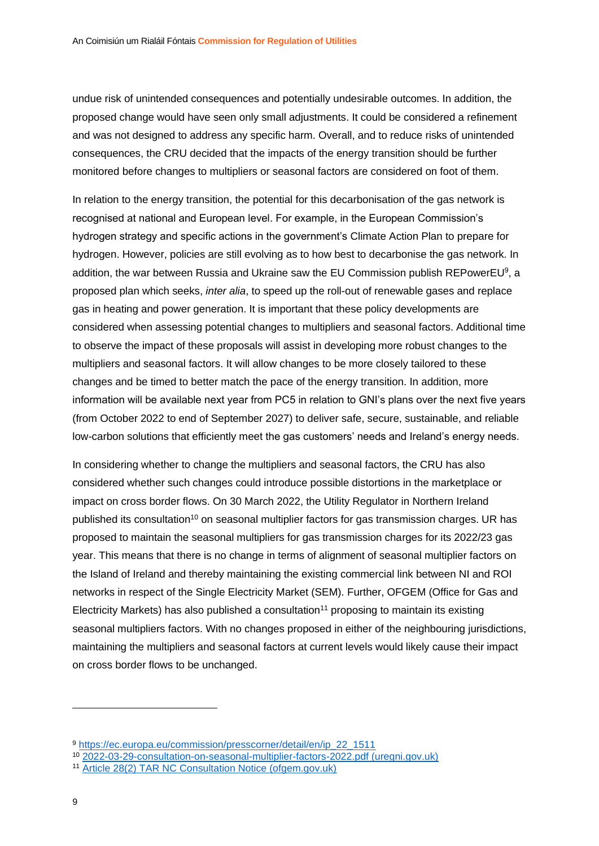undue risk of unintended consequences and potentially undesirable outcomes. In addition, the proposed change would have seen only small adjustments. It could be considered a refinement and was not designed to address any specific harm. Overall, and to reduce risks of unintended consequences, the CRU decided that the impacts of the energy transition should be further monitored before changes to multipliers or seasonal factors are considered on foot of them.

In relation to the energy transition, the potential for this decarbonisation of the gas network is recognised at national and European level. For example, in the European Commission's hydrogen strategy and specific actions in the government's Climate Action Plan to prepare for hydrogen. However, policies are still evolving as to how best to decarbonise the gas network. In addition, the war between Russia and Ukraine saw the EU Commission publish REPowerEU<sup>9</sup>, a proposed plan which seeks, *inter alia*, to speed up the roll-out of renewable gases and replace gas in heating and power generation. It is important that these policy developments are considered when assessing potential changes to multipliers and seasonal factors. Additional time to observe the impact of these proposals will assist in developing more robust changes to the multipliers and seasonal factors. It will allow changes to be more closely tailored to these changes and be timed to better match the pace of the energy transition. In addition, more information will be available next year from PC5 in relation to GNI's plans over the next five years (from October 2022 to end of September 2027) to deliver safe, secure, sustainable, and reliable low-carbon solutions that efficiently meet the gas customers' needs and Ireland's energy needs.

In considering whether to change the multipliers and seasonal factors, the CRU has also considered whether such changes could introduce possible distortions in the marketplace or impact on cross border flows. On 30 March 2022, the Utility Regulator in Northern Ireland published its consultation<sup>10</sup> on seasonal multiplier factors for gas transmission charges. UR has proposed to maintain the seasonal multipliers for gas transmission charges for its 2022/23 gas year. This means that there is no change in terms of alignment of seasonal multiplier factors on the Island of Ireland and thereby maintaining the existing commercial link between NI and ROI networks in respect of the Single Electricity Market (SEM). Further, OFGEM (Office for Gas and Electricity Markets) has also published a consultation<sup>11</sup> proposing to maintain its existing seasonal multipliers factors. With no changes proposed in either of the neighbouring jurisdictions, maintaining the multipliers and seasonal factors at current levels would likely cause their impact on cross border flows to be unchanged.

<sup>9</sup> [https://ec.europa.eu/commission/presscorner/detail/en/ip\\_22\\_1511](https://ec.europa.eu/commission/presscorner/detail/en/ip_22_1511)

<sup>10</sup> [2022-03-29-consultation-on-seasonal-multiplier-factors-2022.pdf \(uregni.gov.uk\)](https://www.uregni.gov.uk/files/uregni/documents/2022-03/2022-03-29-consultation-on-seasonal-multiplier-factors-2022.pdf)

<sup>11</sup> [Article 28\(2\) TAR NC Consultation Notice \(ofgem.gov.uk\)](https://www.ofgem.gov.uk/sites/default/files/2022-02/20220105%20Article%2028%20Consultation%20Notice.pdf)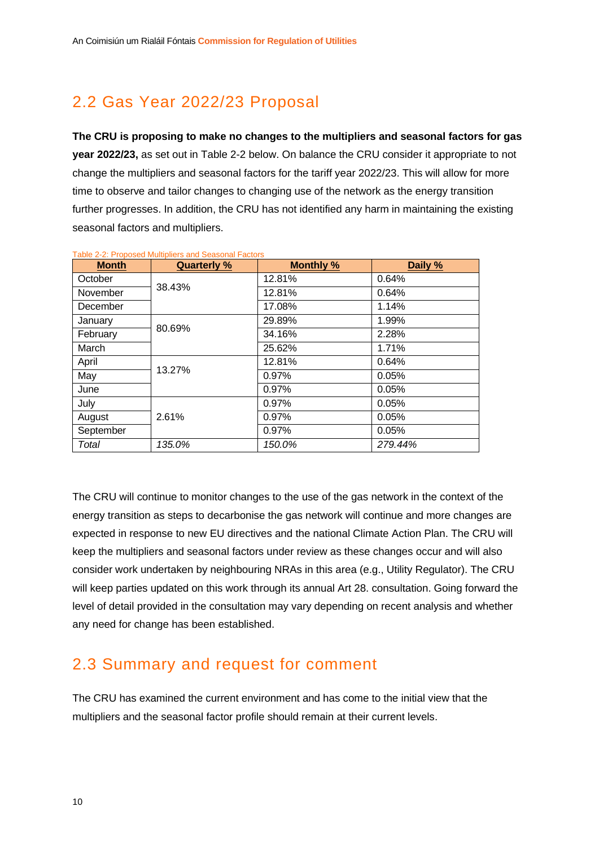### <span id="page-15-0"></span>2.2 Gas Year 2022/23 Proposal

**The CRU is proposing to make no changes to the multipliers and seasonal factors for gas year 2022/23,** as set out in [Table 2-2](#page-15-2) below. On balance the CRU consider it appropriate to not change the multipliers and seasonal factors for the tariff year 2022/23. This will allow for more time to observe and tailor changes to changing use of the network as the energy transition further progresses. In addition, the CRU has not identified any harm in maintaining the existing seasonal factors and multipliers.

| <b>Month</b> | <b>Quarterly %</b> | <b>Monthly %</b> | Daily % |
|--------------|--------------------|------------------|---------|
| October      |                    | 12.81%           | 0.64%   |
| November     | 38.43%             | 12.81%           | 0.64%   |
| December     |                    | 17.08%           | 1.14%   |
| January      |                    | 29.89%           | 1.99%   |
| February     | 80.69%             | 34.16%           | 2.28%   |
| March        |                    | 25.62%           | 1.71%   |
| April        |                    | 12.81%           | 0.64%   |
| May          | 13.27%             | 0.97%            | 0.05%   |
| June         |                    | 0.97%            | 0.05%   |
| July         |                    | 0.97%            | 0.05%   |
| August       | 2.61%              | 0.97%            | 0.05%   |
| September    |                    | 0.97%            | 0.05%   |
| Total        | 135.0%             | 150.0%           | 279.44% |

<span id="page-15-2"></span>Table 2-2: Proposed Multipliers and Seasonal Factors

The CRU will continue to monitor changes to the use of the gas network in the context of the energy transition as steps to decarbonise the gas network will continue and more changes are expected in response to new EU directives and the national Climate Action Plan. The CRU will keep the multipliers and seasonal factors under review as these changes occur and will also consider work undertaken by neighbouring NRAs in this area (e.g., Utility Regulator). The CRU will keep parties updated on this work through its annual Art 28. consultation. Going forward the level of detail provided in the consultation may vary depending on recent analysis and whether any need for change has been established.

### <span id="page-15-1"></span>2.3 Summary and request for comment

The CRU has examined the current environment and has come to the initial view that the multipliers and the seasonal factor profile should remain at their current levels.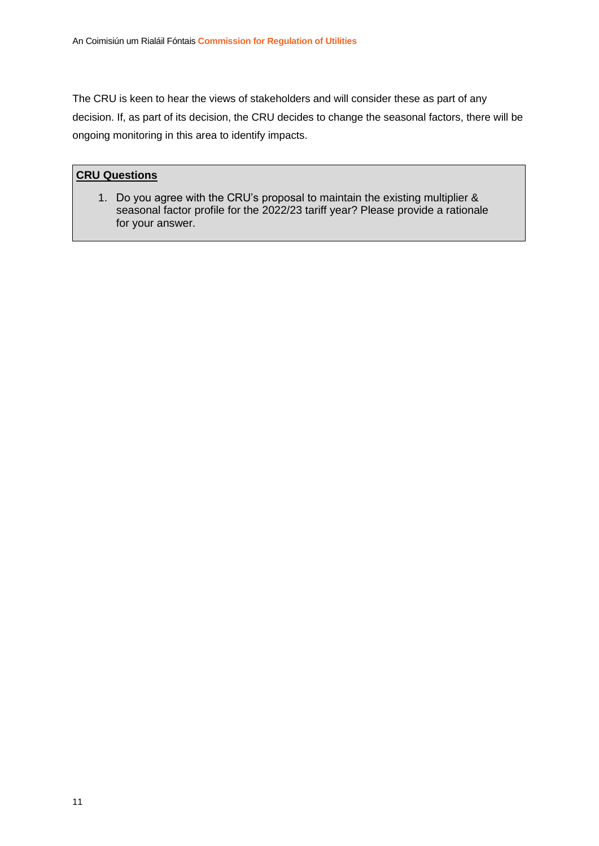The CRU is keen to hear the views of stakeholders and will consider these as part of any decision. If, as part of its decision, the CRU decides to change the seasonal factors, there will be ongoing monitoring in this area to identify impacts.

#### **CRU Questions**

1. Do you agree with the CRU's proposal to maintain the existing multiplier & seasonal factor profile for the 2022/23 tariff year? Please provide a rationale for your answer.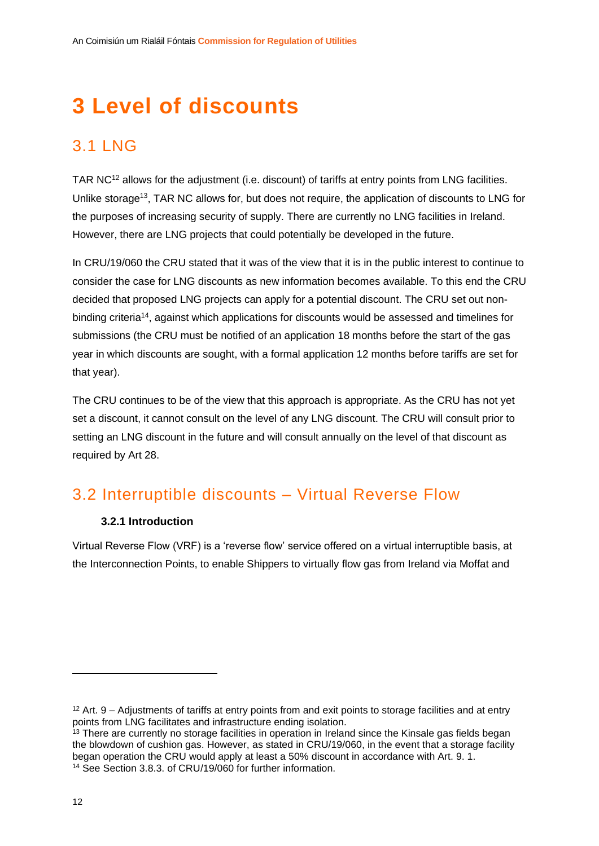# <span id="page-17-0"></span>**3 Level of discounts**

### <span id="page-17-1"></span>3.1 LNG

TAR NC<sup>12</sup> allows for the adjustment (i.e. discount) of tariffs at entry points from LNG facilities. Unlike storage<sup>13</sup>, TAR NC allows for, but does not require, the application of discounts to LNG for the purposes of increasing security of supply. There are currently no LNG facilities in Ireland. However, there are LNG projects that could potentially be developed in the future.

In CRU/19/060 the CRU stated that it was of the view that it is in the public interest to continue to consider the case for LNG discounts as new information becomes available. To this end the CRU decided that proposed LNG projects can apply for a potential discount. The CRU set out nonbinding criteria<sup>14</sup>, against which applications for discounts would be assessed and timelines for submissions (the CRU must be notified of an application 18 months before the start of the gas year in which discounts are sought, with a formal application 12 months before tariffs are set for that year).

The CRU continues to be of the view that this approach is appropriate. As the CRU has not yet set a discount, it cannot consult on the level of any LNG discount. The CRU will consult prior to setting an LNG discount in the future and will consult annually on the level of that discount as required by Art 28.

### <span id="page-17-2"></span>3.2 Interruptible discounts – Virtual Reverse Flow

#### **3.2.1 Introduction**

<span id="page-17-3"></span>Virtual Reverse Flow (VRF) is a 'reverse flow' service offered on a virtual interruptible basis, at the Interconnection Points, to enable Shippers to virtually flow gas from Ireland via Moffat and

<sup>12</sup> Art. 9 – Adjustments of tariffs at entry points from and exit points to storage facilities and at entry points from LNG facilitates and infrastructure ending isolation.

<sup>&</sup>lt;sup>13</sup> There are currently no storage facilities in operation in Ireland since the Kinsale gas fields began the blowdown of cushion gas. However, as stated in CRU/19/060, in the event that a storage facility began operation the CRU would apply at least a 50% discount in accordance with Art. 9. 1. <sup>14</sup> See Section 3.8.3. of CRU/19/060 for further information.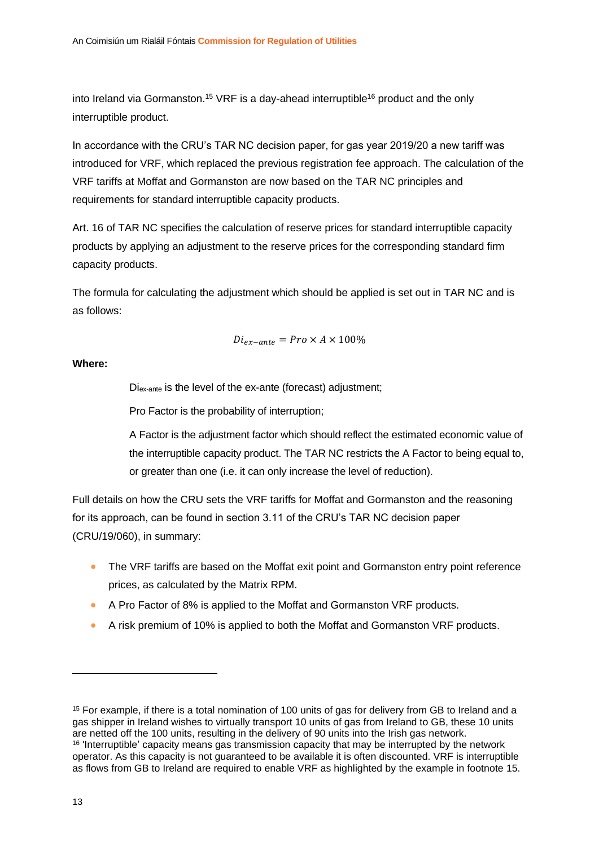<span id="page-18-0"></span>into Ireland via Gormanston.<sup>15</sup> VRF is a day-ahead interruptible<sup>16</sup> product and the only interruptible product.

In accordance with the CRU's TAR NC decision paper, for gas year 2019/20 a new tariff was introduced for VRF, which replaced the previous registration fee approach. The calculation of the VRF tariffs at Moffat and Gormanston are now based on the TAR NC principles and requirements for standard interruptible capacity products.

Art. 16 of TAR NC specifies the calculation of reserve prices for standard interruptible capacity products by applying an adjustment to the reserve prices for the corresponding standard firm capacity products.

The formula for calculating the adjustment which should be applied is set out in TAR NC and is as follows:

$$
Di_{ex-ante} = Pro \times A \times 100\%
$$

**Where:**

Diex-ante is the level of the ex-ante (forecast) adjustment;

Pro Factor is the probability of interruption;

A Factor is the adjustment factor which should reflect the estimated economic value of the interruptible capacity product. The TAR NC restricts the A Factor to being equal to, or greater than one (i.e. it can only increase the level of reduction).

Full details on how the CRU sets the VRF tariffs for Moffat and Gormanston and the reasoning for its approach, can be found in section 3.11 of the CRU's TAR NC decision paper (CRU/19/060), in summary:

- The VRF tariffs are based on the Moffat exit point and Gormanston entry point reference prices, as calculated by the Matrix RPM.
- A Pro Factor of 8% is applied to the Moffat and Gormanston VRF products.
- A risk premium of 10% is applied to both the Moffat and Gormanston VRF products.

<sup>&</sup>lt;sup>15</sup> For example, if there is a total nomination of 100 units of gas for delivery from GB to Ireland and a gas shipper in Ireland wishes to virtually transport 10 units of gas from Ireland to GB, these 10 units are netted off the 100 units, resulting in the delivery of 90 units into the Irish gas network. <sup>16</sup> 'Interruptible' capacity means gas transmission capacity that may be interrupted by the network

operator. As this capacity is not guaranteed to be available it is often discounted. VRF is interruptible as flows from GB to Ireland are required to enable VRF as highlighted by the example in footnote [15.](#page-18-0)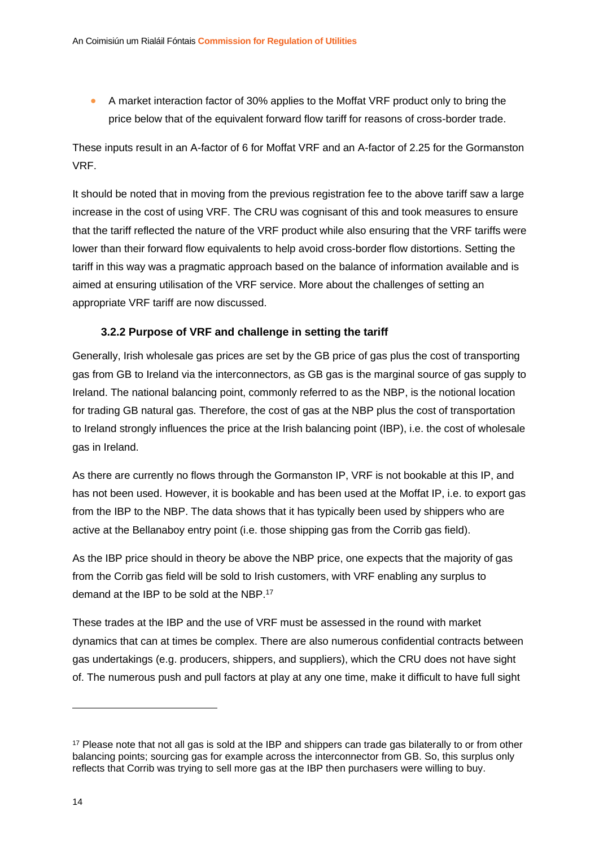• A market interaction factor of 30% applies to the Moffat VRF product only to bring the price below that of the equivalent forward flow tariff for reasons of cross-border trade.

These inputs result in an A-factor of 6 for Moffat VRF and an A-factor of 2.25 for the Gormanston VRF.

It should be noted that in moving from the previous registration fee to the above tariff saw a large increase in the cost of using VRF. The CRU was cognisant of this and took measures to ensure that the tariff reflected the nature of the VRF product while also ensuring that the VRF tariffs were lower than their forward flow equivalents to help avoid cross-border flow distortions. Setting the tariff in this way was a pragmatic approach based on the balance of information available and is aimed at ensuring utilisation of the VRF service. More about the challenges of setting an appropriate VRF tariff are now discussed.

#### **3.2.2 Purpose of VRF and challenge in setting the tariff**

<span id="page-19-0"></span>Generally, Irish wholesale gas prices are set by the GB price of gas plus the cost of transporting gas from GB to Ireland via the interconnectors, as GB gas is the marginal source of gas supply to Ireland. The national balancing point, commonly referred to as the NBP, is the notional location for trading GB natural gas. Therefore, the cost of gas at the NBP plus the cost of transportation to Ireland strongly influences the price at the Irish balancing point (IBP), i.e. the cost of wholesale gas in Ireland.

As there are currently no flows through the Gormanston IP, VRF is not bookable at this IP, and has not been used. However, it is bookable and has been used at the Moffat IP, i.e. to export gas from the IBP to the NBP. The data shows that it has typically been used by shippers who are active at the Bellanaboy entry point (i.e. those shipping gas from the Corrib gas field).

As the IBP price should in theory be above the NBP price, one expects that the majority of gas from the Corrib gas field will be sold to Irish customers, with VRF enabling any surplus to demand at the IBP to be sold at the NBP.<sup>17</sup>

These trades at the IBP and the use of VRF must be assessed in the round with market dynamics that can at times be complex. There are also numerous confidential contracts between gas undertakings (e.g. producers, shippers, and suppliers), which the CRU does not have sight of. The numerous push and pull factors at play at any one time, make it difficult to have full sight

<sup>&</sup>lt;sup>17</sup> Please note that not all gas is sold at the IBP and shippers can trade gas bilaterally to or from other balancing points; sourcing gas for example across the interconnector from GB. So, this surplus only reflects that Corrib was trying to sell more gas at the IBP then purchasers were willing to buy.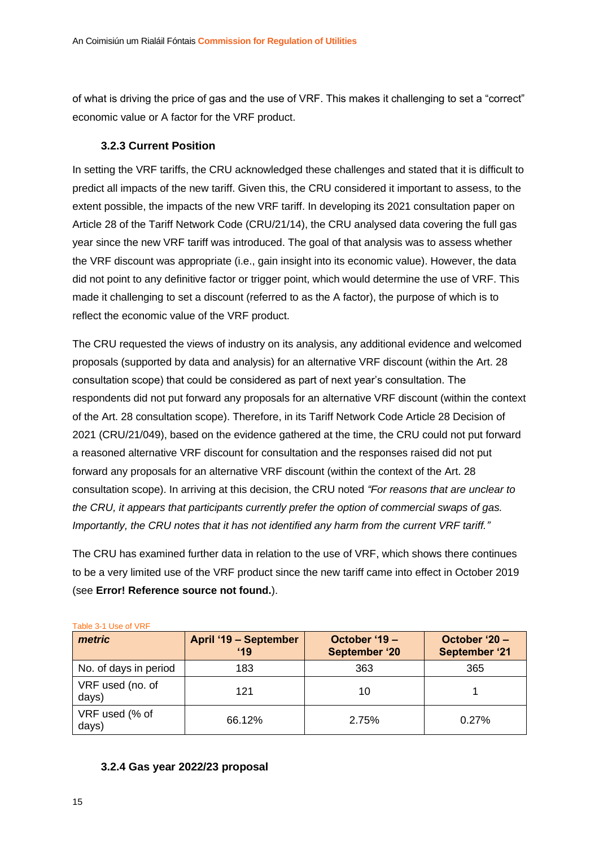of what is driving the price of gas and the use of VRF. This makes it challenging to set a "correct" economic value or A factor for the VRF product.

#### **3.2.3 Current Position**

<span id="page-20-0"></span>In setting the VRF tariffs, the CRU acknowledged these challenges and stated that it is difficult to predict all impacts of the new tariff. Given this, the CRU considered it important to assess, to the extent possible, the impacts of the new VRF tariff. In developing its 2021 consultation paper on Article 28 of the Tariff Network Code (CRU/21/14), the CRU analysed data covering the full gas year since the new VRF tariff was introduced. The goal of that analysis was to assess whether the VRF discount was appropriate (i.e., gain insight into its economic value). However, the data did not point to any definitive factor or trigger point, which would determine the use of VRF. This made it challenging to set a discount (referred to as the A factor), the purpose of which is to reflect the economic value of the VRF product.

The CRU requested the views of industry on its analysis, any additional evidence and welcomed proposals (supported by data and analysis) for an alternative VRF discount (within the Art. 28 consultation scope) that could be considered as part of next year's consultation. The respondents did not put forward any proposals for an alternative VRF discount (within the context of the Art. 28 consultation scope). Therefore, in its Tariff Network Code Article 28 Decision of 2021 (CRU/21/049), based on the evidence gathered at the time, the CRU could not put forward a reasoned alternative VRF discount for consultation and the responses raised did not put forward any proposals for an alternative VRF discount (within the context of the Art. 28 consultation scope). In arriving at this decision, the CRU noted *"For reasons that are unclear to the CRU, it appears that participants currently prefer the option of commercial swaps of gas. Importantly, the CRU notes that it has not identified any harm from the current VRF tariff."*

The CRU has examined further data in relation to the use of VRF, which shows there continues to be a very limited use of the VRF product since the new tariff came into effect in October 2019 (see **Error! Reference source not found.**).

| metric                    | April '19 - September<br>19 | October '19 -<br>September '20 | October '20 -<br><b>September '21</b> |
|---------------------------|-----------------------------|--------------------------------|---------------------------------------|
| No. of days in period     | 183                         | 363                            | 365                                   |
| VRF used (no. of<br>days) | 121                         | 10                             |                                       |
| VRF used (% of<br>days)   | 66.12%                      | 2.75%                          | 0.27%                                 |

Table 3-1 Use of VRF

#### <span id="page-20-1"></span>**3.2.4 Gas year 2022/23 proposal**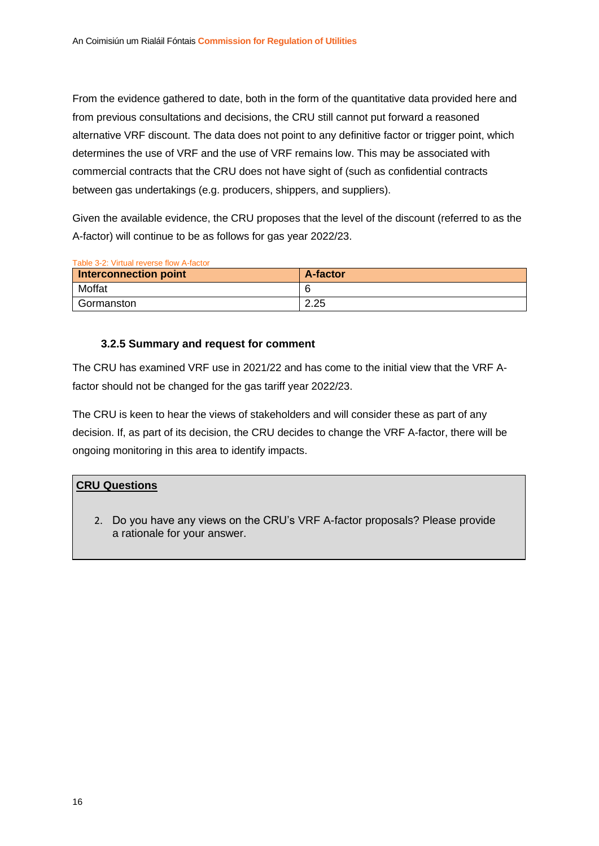From the evidence gathered to date, both in the form of the quantitative data provided here and from previous consultations and decisions, the CRU still cannot put forward a reasoned alternative VRF discount. The data does not point to any definitive factor or trigger point, which determines the use of VRF and the use of VRF remains low. This may be associated with commercial contracts that the CRU does not have sight of (such as confidential contracts between gas undertakings (e.g. producers, shippers, and suppliers).

Given the available evidence, the CRU proposes that the level of the discount (referred to as the A-factor) will continue to be as follows for gas year 2022/23.

| Interconnection point | A-factor |
|-----------------------|----------|
| Moffat                |          |
| Gormanston            | 2.25     |

#### **3.2.5 Summary and request for comment**

<span id="page-21-0"></span>The CRU has examined VRF use in 2021/22 and has come to the initial view that the VRF Afactor should not be changed for the gas tariff year 2022/23.

The CRU is keen to hear the views of stakeholders and will consider these as part of any decision. If, as part of its decision, the CRU decides to change the VRF A-factor, there will be ongoing monitoring in this area to identify impacts.

#### **CRU Questions**

2. Do you have any views on the CRU's VRF A-factor proposals? Please provide a rationale for your answer.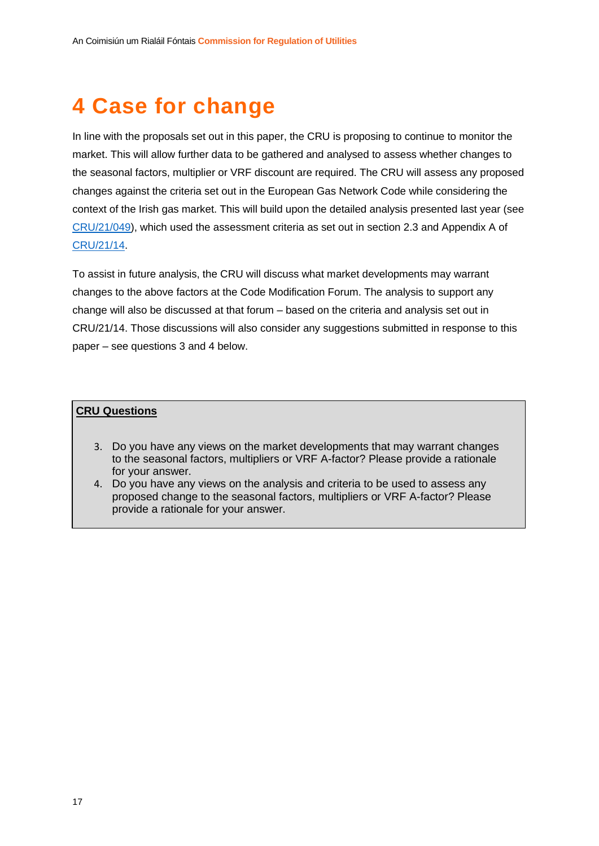# <span id="page-22-0"></span>**4 Case for change**

In line with the proposals set out in this paper, the CRU is proposing to continue to monitor the market. This will allow further data to be gathered and analysed to assess whether changes to the seasonal factors, multiplier or VRF discount are required. The CRU will assess any proposed changes against the criteria set out in the European Gas Network Code while considering the context of the Irish gas market. This will build upon the detailed analysis presented last year (see [CRU/21/049\)](https://www.cru.ie/wp-content/uploads/2021/04/CRU21049-Gas-Transmission-Tariff-Methodology-Tariff-Network-Code-Article-28-Decision-Gas-year-2021.22.pdf), which used the assessment criteria as set out in section 2.3 and Appendix A of [CRU/21/14.](https://www.cru.ie/wp-content/uploads/2021/02/CRU2114-Gas-Transmission-Tariff-Methodology-Article-28-Consultation-Gas-Year-21-22.pdf)

To assist in future analysis, the CRU will discuss what market developments may warrant changes to the above factors at the Code Modification Forum. The analysis to support any change will also be discussed at that forum – based on the criteria and analysis set out in CRU/21/14. Those discussions will also consider any suggestions submitted in response to this paper – see questions 3 and 4 below.

#### **CRU Questions**

- 3. Do you have any views on the market developments that may warrant changes to the seasonal factors, multipliers or VRF A-factor? Please provide a rationale for your answer.
- 4. Do you have any views on the analysis and criteria to be used to assess any proposed change to the seasonal factors, multipliers or VRF A-factor? Please provide a rationale for your answer.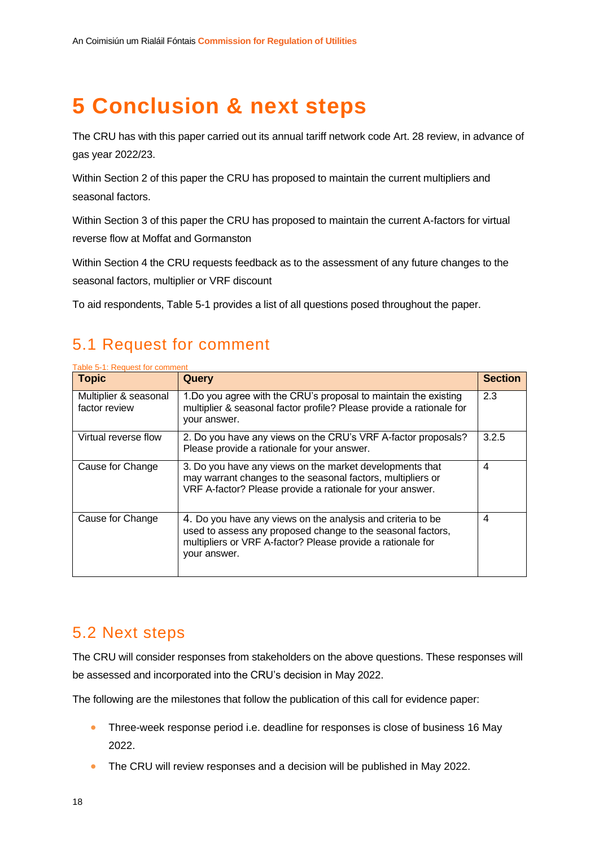# <span id="page-23-0"></span>**5 Conclusion & next steps**

The CRU has with this paper carried out its annual tariff network code Art. 28 review, in advance of gas year 2022/23.

Within Section 2 of this paper the CRU has proposed to maintain the current multipliers and seasonal factors.

Within Section 3 of this paper the CRU has proposed to maintain the current A-factors for virtual reverse flow at Moffat and Gormanston

Within Section 4 the CRU requests feedback as to the assessment of any future changes to the seasonal factors, multiplier or VRF discount

To aid respondents, [Table 5-1](#page-23-3) provides a list of all questions posed throughout the paper.

### <span id="page-23-1"></span>5.1 Request for comment

| <b>Topic</b>                           | Query                                                                                                                                                                                                     | <b>Section</b> |
|----------------------------------------|-----------------------------------------------------------------------------------------------------------------------------------------------------------------------------------------------------------|----------------|
| Multiplier & seasonal<br>factor review | 1.Do you agree with the CRU's proposal to maintain the existing<br>multiplier & seasonal factor profile? Please provide a rationale for<br>your answer.                                                   | 2.3            |
| Virtual reverse flow                   | 2. Do you have any views on the CRU's VRF A-factor proposals?<br>Please provide a rationale for your answer.                                                                                              | 3.2.5          |
| Cause for Change                       | 3. Do you have any views on the market developments that<br>may warrant changes to the seasonal factors, multipliers or<br>VRF A-factor? Please provide a rationale for your answer.                      | 4              |
| Cause for Change                       | 4. Do you have any views on the analysis and criteria to be<br>used to assess any proposed change to the seasonal factors,<br>multipliers or VRF A-factor? Please provide a rationale for<br>your answer. | 4              |

#### <span id="page-23-3"></span>Table 5-1: Request for comment

#### <span id="page-23-2"></span>5.2 Next steps

The CRU will consider responses from stakeholders on the above questions. These responses will be assessed and incorporated into the CRU's decision in May 2022.

The following are the milestones that follow the publication of this call for evidence paper:

- Three-week response period i.e. deadline for responses is close of business 16 May 2022.
- The CRU will review responses and a decision will be published in May 2022.